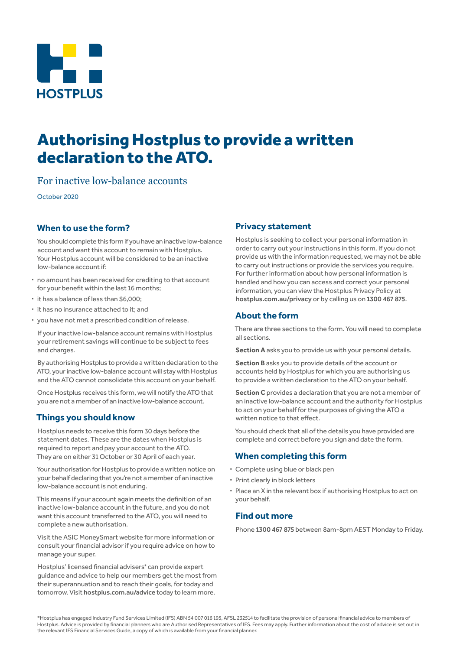

# Authorising Hostplus to provide a written declaration to the ATO.

For inactive low-balance accounts

October 2020

## **When to use the form?**

You should complete this form if you have an inactive low-balance account and want this account to remain with Hostplus. Your Hostplus account will be considered to be an inactive low-balance account if:

- **·** no amount has been received for crediting to that account for your benefit within the last 16 months;
- **·** it has a balance of less than \$6,000;
- **·** it has no insurance attached to it; and
- **·** you have not met a prescribed condition of release.

If your inactive low-balance account remains with Hostplus your retirement savings will continue to be subject to fees and charges.

By authorising Hostplus to provide a written declaration to the ATO, your inactive low-balance account will stay with Hostplus and the ATO cannot consolidate this account on your behalf.

Once Hostplus receives this form, we will notify the ATO that you are not a member of an inactive low-balance account.

## **Things you should know**

Hostplus needs to receive this form 30 days before the statement dates. These are the dates when Hostplus is required to report and pay your account to the ATO. They are on either 31 October or 30 April of each year.

Your authorisation for Hostplus to provide a written notice on your behalf declaring that you're not a member of an inactive low-balance account is not enduring.

This means if your account again meets the definition of an inactive low-balance account in the future, and you do not want this account transferred to the ATO, you will need to complete a new authorisation.

Visit the ASIC MoneySmart website for more information or consult your financial advisor if you require advice on how to manage your super.

Hostplus' licensed financial advisers\* can provide expert guidance and advice to help our members get the most from their superannuation and to reach their goals, for today and tomorrow. Visit hostplus.com.au/advice today to learn more.

### **Privacy statement**

Hostplus is seeking to collect your personal information in order to carry out your instructions in this form. If you do not provide us with the information requested, we may not be able to carry out instructions or provide the services you require. For further information about how personal information is handled and how you can access and correct your personal information, you can view the Hostplus Privacy Policy at hostplus.com.au/privacy or by calling us on 1300 467 875.

### **About the form**

There are three sections to the form. You will need to complete all sections.

**Section A** asks you to provide us with your personal details.

**Section B** asks you to provide details of the account or accounts held by Hostplus for which you are authorising us to provide a written declaration to the ATO on your behalf.

**Section C** provides a declaration that you are not a member of an inactive low-balance account and the authority for Hostplus to act on your behalf for the purposes of giving the ATO a written notice to that effect.

You should check that all of the details you have provided are complete and correct before you sign and date the form.

#### **When completing this form**

- **·** Complete using blue or black pen
- **·** Print clearly in block letters
- **·** Place an X in the relevant box if authorising Hostplus to act on your behalf.

## **Find out more**

Phone 1300 467 875 between 8am-8pm AEST Monday to Friday.